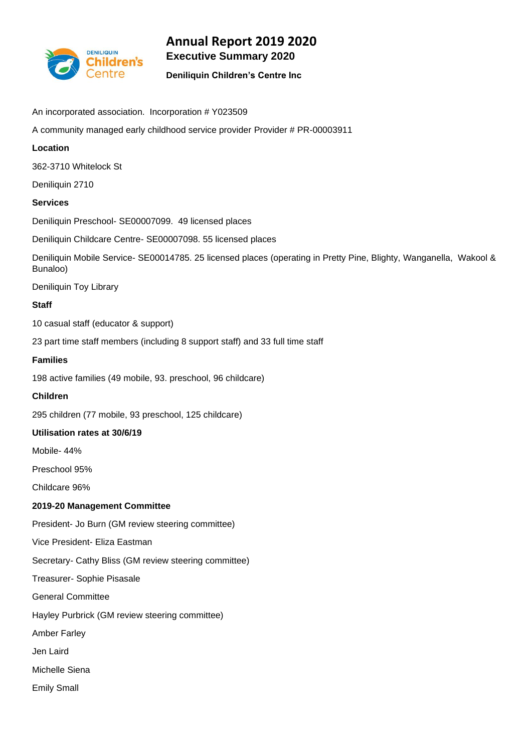

# **Annual Report 2019 2020 Executive Summary 2020**

# **Deniliquin Children's Centre Inc**

- An incorporated association. Incorporation # Y023509
- A community managed early childhood service provider Provider # PR-00003911

# **Location**

362-3710 Whitelock St

Deniliquin 2710

# **Services**

Deniliquin Preschool- SE00007099. 49 licensed places

Deniliquin Childcare Centre- SE00007098. 55 licensed places

Deniliquin Mobile Service- SE00014785. 25 licensed places (operating in Pretty Pine, Blighty, Wanganella, Wakool & Bunaloo)

Deniliquin Toy Library

# **Staff**

10 casual staff (educator & support)

23 part time staff members (including 8 support staff) and 33 full time staff

# **Families**

198 active families (49 mobile, 93. preschool, 96 childcare)

# **Children**

295 children (77 mobile, 93 preschool, 125 childcare)

# **Utilisation rates at 30/6/19**

Mobile- 44%

Preschool 95%

Childcare 96%

# **2019-20 Management Committee**

President- Jo Burn (GM review steering committee)

Vice President- Eliza Eastman

Secretary- Cathy Bliss (GM review steering committee)

Treasurer- Sophie Pisasale

General Committee

Hayley Purbrick (GM review steering committee)

Amber Farley

Jen Laird

Michelle Siena

Emily Small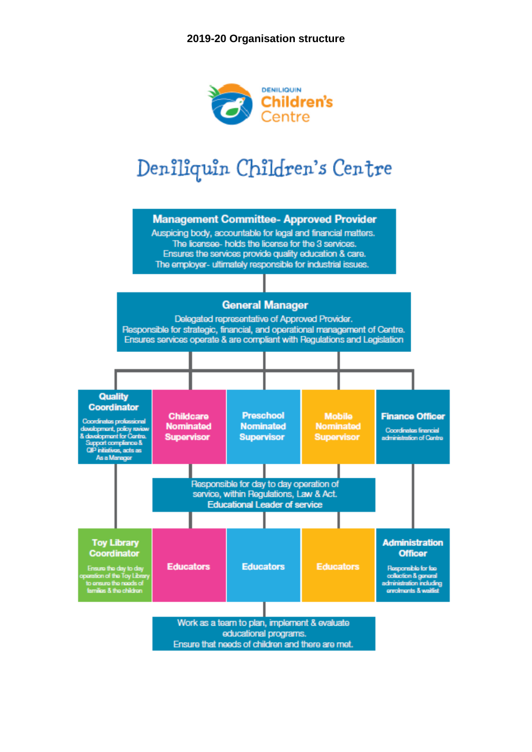

# Deniliquin Children's Centre

# **Management Committee- Approved Provider**

Auspicing body, accountable for legal and financial matters. The licensee- holds the license for the 3 services. Ensures the services provide quality education & care. The employer- ultimately responsible for industrial issues.

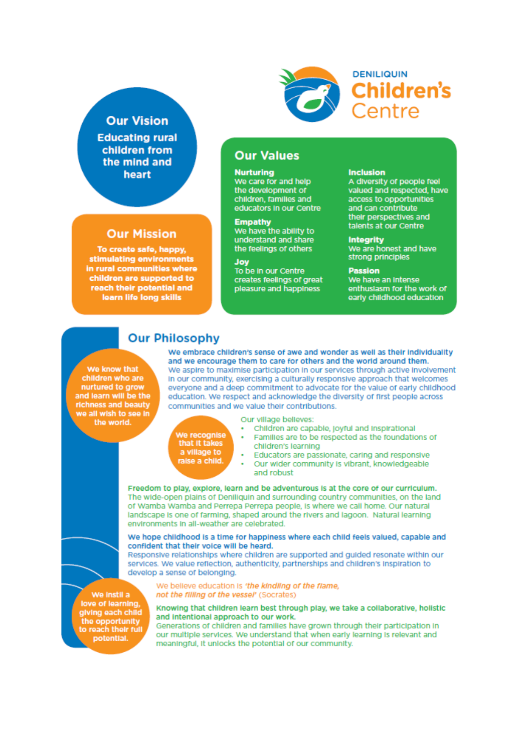# **Our Vision**

**Educating rural** children from the mind and heart

# **Our Mission**

To create safe, happy, stimulating environments in rural communities where children are supported to reach their potential and learn life long skills



**Our Values** 

We care for and help

children, families and educators in our Centre

**Empathy**<br>We have the ability to

understand and share

the feelings of others

creates feelings of great

pleasure and happiness

Joy<br>To be In our Centre

the development of

**Nurturing** 

#### **Inclusion**

**DENILIQUIN** 

Centre

A diversity of people feel<br>valued and respected, have access to opportunities and can contribute their perspectives and talents at our Centre

#### **Integrity**

We are honest and have strong principles

#### **Passion**

We have an Intense enthusiasm for the work of early childhood education

# **Our Philosophy**

We know that children who are nurtured to grow and learn will be the richness and beauty we all wish to see in the world.

We embrace children's sense of awe and wonder as well as their individuality and we encourage them to care for others and the world around them. We aspire to maximise participation in our services through active involvement In our community, exercising a culturally responsive approach that welcomes everyone and a deep commitment to advocate for the value of early childhood education. We respect and acknowledge the diversity of first people across communities and we value their contributions.

| We recoanise   |  |
|----------------|--|
| that it takes  |  |
| a village to   |  |
|                |  |
| raise a child. |  |

Our village believes:

- Children are capable, joyful and inspirational
- 
- Families are to be respected as the foundations of children's learning
- Educators are passionate, caring and responsive
- Our wider community is vibrant, knowledgeable and robust

Freedom to play, explore, learn and be adventurous is at the core of our curriculum. The wide-open plains of Deniliquin and surrounding country communities, on the land of Wamba Wamba and Perrepa Perrepa people, is where we call home. Our natural landscape is one of farming, shaped around the rivers and lagoon. Natural learning environments in all-weather are celebrated.

#### We hope childhood is a time for happiness where each child feels valued, capable and confident that their voice will be heard.

Responsive relationships where children are supported and guided resonate within our services. We value reflection, authenticity, partnerships and children's inspiration to develop a sense of belonging.

We instil a love of learning, giving each child the opportunity<br>to reach their full potential.

We believe education is 'the kindling of the flame, not the filling of the vessel' (Socrates)

#### Knowing that children learn best through play, we take a collaborative, holistic and Intentional approach to our work.

Generations of children and families have grown through their participation in our multiple services. We understand that when early learning is relevant and meaningful, it unlocks the potential of our community.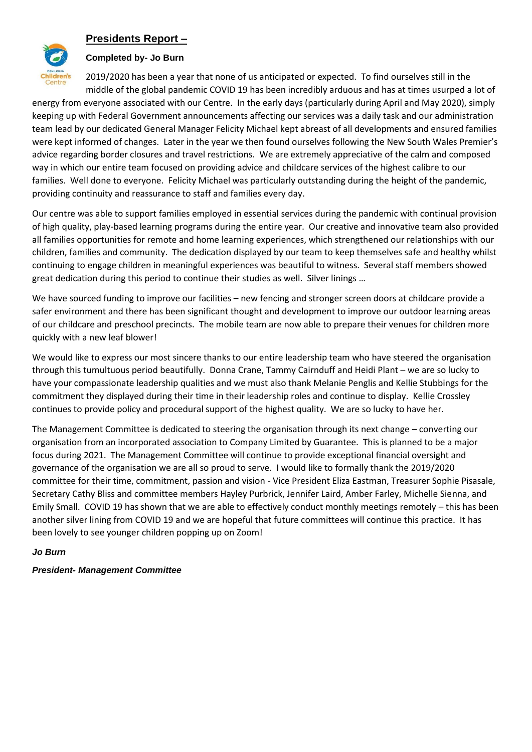# **Presidents Report –**



# **Completed by- Jo Burn**

2019/2020 has been a year that none of us anticipated or expected. To find ourselves still in the middle of the global pandemic COVID 19 has been incredibly arduous and has at times usurped a lot of energy from everyone associated with our Centre. In the early days (particularly during April and May 2020), simply keeping up with Federal Government announcements affecting our services was a daily task and our administration team lead by our dedicated General Manager Felicity Michael kept abreast of all developments and ensured families were kept informed of changes. Later in the year we then found ourselves following the New South Wales Premier's advice regarding border closures and travel restrictions. We are extremely appreciative of the calm and composed way in which our entire team focused on providing advice and childcare services of the highest calibre to our families. Well done to everyone. Felicity Michael was particularly outstanding during the height of the pandemic, providing continuity and reassurance to staff and families every day.

Our centre was able to support families employed in essential services during the pandemic with continual provision of high quality, play-based learning programs during the entire year. Our creative and innovative team also provided all families opportunities for remote and home learning experiences, which strengthened our relationships with our children, families and community. The dedication displayed by our team to keep themselves safe and healthy whilst continuing to engage children in meaningful experiences was beautiful to witness. Several staff members showed great dedication during this period to continue their studies as well. Silver linings …

We have sourced funding to improve our facilities – new fencing and stronger screen doors at childcare provide a safer environment and there has been significant thought and development to improve our outdoor learning areas of our childcare and preschool precincts. The mobile team are now able to prepare their venues for children more quickly with a new leaf blower!

We would like to express our most sincere thanks to our entire leadership team who have steered the organisation through this tumultuous period beautifully. Donna Crane, Tammy Cairnduff and Heidi Plant – we are so lucky to have your compassionate leadership qualities and we must also thank Melanie Penglis and Kellie Stubbings for the commitment they displayed during their time in their leadership roles and continue to display. Kellie Crossley continues to provide policy and procedural support of the highest quality. We are so lucky to have her.

The Management Committee is dedicated to steering the organisation through its next change – converting our organisation from an incorporated association to Company Limited by Guarantee. This is planned to be a major focus during 2021. The Management Committee will continue to provide exceptional financial oversight and governance of the organisation we are all so proud to serve. I would like to formally thank the 2019/2020 committee for their time, commitment, passion and vision - Vice President Eliza Eastman, Treasurer Sophie Pisasale, Secretary Cathy Bliss and committee members Hayley Purbrick, Jennifer Laird, Amber Farley, Michelle Sienna, and Emily Small. COVID 19 has shown that we are able to effectively conduct monthly meetings remotely – this has been another silver lining from COVID 19 and we are hopeful that future committees will continue this practice. It has been lovely to see younger children popping up on Zoom!

# *Jo Burn*

# *President- Management Committee*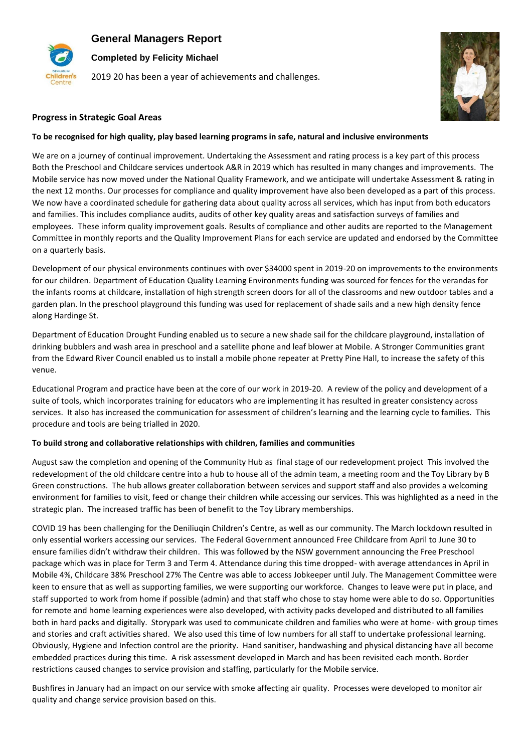**General Managers Report**



**Completed by Felicity Michael**

2019 20 has been a year of achievements and challenges.



## **Progress in Strategic Goal Areas**

#### **To be recognised for high quality, play based learning programs in safe, natural and inclusive environments**

We are on a journey of continual improvement. Undertaking the Assessment and rating process is a key part of this process Both the Preschool and Childcare services undertook A&R in 2019 which has resulted in many changes and improvements. The Mobile service has now moved under the National Quality Framework, and we anticipate will undertake Assessment & rating in the next 12 months. Our processes for compliance and quality improvement have also been developed as a part of this process. We now have a coordinated schedule for gathering data about quality across all services, which has input from both educators and families. This includes compliance audits, audits of other key quality areas and satisfaction surveys of families and employees. These inform quality improvement goals. Results of compliance and other audits are reported to the Management Committee in monthly reports and the Quality Improvement Plans for each service are updated and endorsed by the Committee on a quarterly basis.

Development of our physical environments continues with over \$34000 spent in 2019-20 on improvements to the environments for our children. Department of Education Quality Learning Environments funding was sourced for fences for the verandas for the infants rooms at childcare, installation of high strength screen doors for all of the classrooms and new outdoor tables and a garden plan. In the preschool playground this funding was used for replacement of shade sails and a new high density fence along Hardinge St.

Department of Education Drought Funding enabled us to secure a new shade sail for the childcare playground, installation of drinking bubblers and wash area in preschool and a satellite phone and leaf blower at Mobile. A Stronger Communities grant from the Edward River Council enabled us to install a mobile phone repeater at Pretty Pine Hall, to increase the safety of this venue.

Educational Program and practice have been at the core of our work in 2019-20. A review of the policy and development of a suite of tools, which incorporates training for educators who are implementing it has resulted in greater consistency across services. It also has increased the communication for assessment of children's learning and the learning cycle to families. This procedure and tools are being trialled in 2020.

#### **To build strong and collaborative relationships with children, families and communities**

August saw the completion and opening of the Community Hub as final stage of our redevelopment project This involved the redevelopment of the old childcare centre into a hub to house all of the admin team, a meeting room and the Toy Library by B Green constructions. The hub allows greater collaboration between services and support staff and also provides a welcoming environment for families to visit, feed or change their children while accessing our services. This was highlighted as a need in the strategic plan. The increased traffic has been of benefit to the Toy Library memberships.

COVID 19 has been challenging for the Deniliuqin Children's Centre, as well as our community. The March lockdown resulted in only essential workers accessing our services. The Federal Government announced Free Childcare from April to June 30 to ensure families didn't withdraw their children. This was followed by the NSW government announcing the Free Preschool package which was in place for Term 3 and Term 4. Attendance during this time dropped- with average attendances in April in Mobile 4%, Childcare 38% Preschool 27% The Centre was able to access Jobkeeper until July. The Management Committee were keen to ensure that as well as supporting families, we were supporting our workforce. Changes to leave were put in place, and staff supported to work from home if possible (admin) and that staff who chose to stay home were able to do so. Opportunities for remote and home learning experiences were also developed, with activity packs developed and distributed to all families both in hard packs and digitally. Storypark was used to communicate children and families who were at home- with group times and stories and craft activities shared. We also used this time of low numbers for all staff to undertake professional learning. Obviously, Hygiene and Infection control are the priority. Hand sanitiser, handwashing and physical distancing have all become embedded practices during this time. A risk assessment developed in March and has been revisited each month. Border restrictions caused changes to service provision and staffing, particularly for the Mobile service.

Bushfires in January had an impact on our service with smoke affecting air quality. Processes were developed to monitor air quality and change service provision based on this.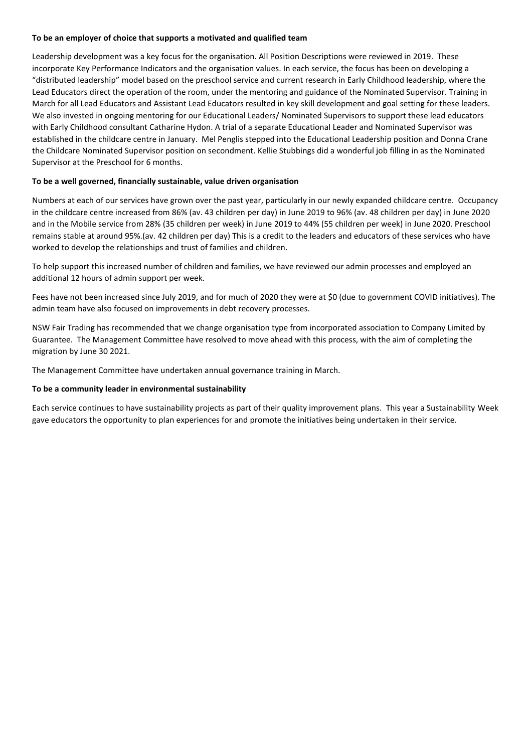#### **To be an employer of choice that supports a motivated and qualified team**

Leadership development was a key focus for the organisation. All Position Descriptions were reviewed in 2019. These incorporate Key Performance Indicators and the organisation values. In each service, the focus has been on developing a "distributed leadership" model based on the preschool service and current research in Early Childhood leadership, where the Lead Educators direct the operation of the room, under the mentoring and guidance of the Nominated Supervisor. Training in March for all Lead Educators and Assistant Lead Educators resulted in key skill development and goal setting for these leaders. We also invested in ongoing mentoring for our Educational Leaders/ Nominated Supervisors to support these lead educators with Early Childhood consultant Catharine Hydon. A trial of a separate Educational Leader and Nominated Supervisor was established in the childcare centre in January. Mel Penglis stepped into the Educational Leadership position and Donna Crane the Childcare Nominated Supervisor position on secondment. Kellie Stubbings did a wonderful job filling in as the Nominated Supervisor at the Preschool for 6 months.

## **To be a well governed, financially sustainable, value driven organisation**

Numbers at each of our services have grown over the past year, particularly in our newly expanded childcare centre. Occupancy in the childcare centre increased from 86% (av. 43 children per day) in June 2019 to 96% (av. 48 children per day) in June 2020 and in the Mobile service from 28% (35 children per week) in June 2019 to 44% (55 children per week) in June 2020. Preschool remains stable at around 95%.(av. 42 children per day) This is a credit to the leaders and educators of these services who have worked to develop the relationships and trust of families and children.

To help support this increased number of children and families, we have reviewed our admin processes and employed an additional 12 hours of admin support per week.

Fees have not been increased since July 2019, and for much of 2020 they were at \$0 (due to government COVID initiatives). The admin team have also focused on improvements in debt recovery processes.

NSW Fair Trading has recommended that we change organisation type from incorporated association to Company Limited by Guarantee. The Management Committee have resolved to move ahead with this process, with the aim of completing the migration by June 30 2021.

The Management Committee have undertaken annual governance training in March.

#### **To be a community leader in environmental sustainability**

Each service continues to have sustainability projects as part of their quality improvement plans. This year a Sustainability Week gave educators the opportunity to plan experiences for and promote the initiatives being undertaken in their service.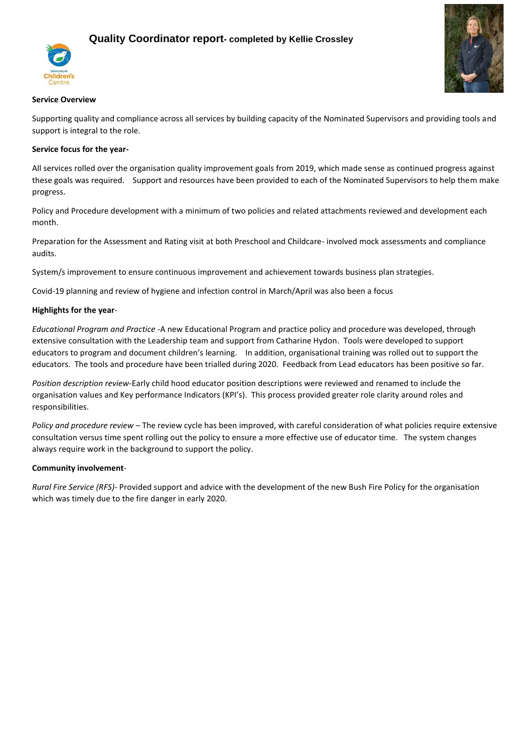# **Quality Coordinator report- completed by Kellie Crossley**





#### **Service Overview**

Supporting quality and compliance across all services by building capacity of the Nominated Supervisors and providing tools and support is integral to the role.

## **Service focus for the year-**

All services rolled over the organisation quality improvement goals from 2019, which made sense as continued progress against these goals was required. Support and resources have been provided to each of the Nominated Supervisors to help them make progress.

Policy and Procedure development with a minimum of two policies and related attachments reviewed and development each month.

Preparation for the Assessment and Rating visit at both Preschool and Childcare- involved mock assessments and compliance audits.

System/s improvement to ensure continuous improvement and achievement towards business plan strategies.

Covid-19 planning and review of hygiene and infection control in March/April was also been a focus

## **Highlights for the year**-

*Educational Program and Practice* -A new Educational Program and practice policy and procedure was developed, through extensive consultation with the Leadership team and support from Catharine Hydon. Tools were developed to support educators to program and document children's learning. In addition, organisational training was rolled out to support the educators. The tools and procedure have been trialled during 2020. Feedback from Lead educators has been positive so far.

*Position description review*-Early child hood educator position descriptions were reviewed and renamed to include the organisation values and Key performance Indicators (KPI's). This process provided greater role clarity around roles and responsibilities.

*Policy and procedure review* – The review cycle has been improved, with careful consideration of what policies require extensive consultation versus time spent rolling out the policy to ensure a more effective use of educator time. The system changes always require work in the background to support the policy.

#### **Community involvement**-

*Rural Fire Service (RFS)*- Provided support and advice with the development of the new Bush Fire Policy for the organisation which was timely due to the fire danger in early 2020.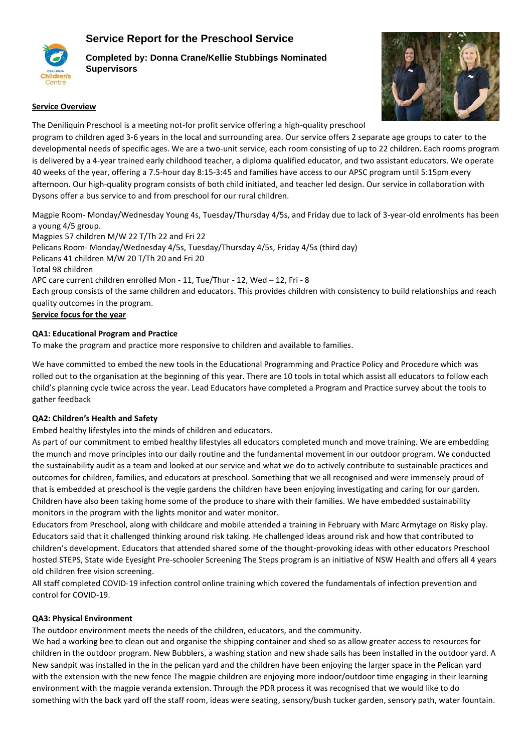# **Service Report for the Preschool Service**



**Completed by: Donna Crane/Kellie Stubbings Nominated Supervisors**



#### **Service Overview**

The Deniliquin Preschool is a meeting not-for profit service offering a high-quality preschool program to children aged 3-6 years in the local and surrounding area. Our service offers 2 separate age groups to cater to the developmental needs of specific ages. We are a two-unit service, each room consisting of up to 22 children. Each rooms program is delivered by a 4-year trained early childhood teacher, a diploma qualified educator, and two assistant educators. We operate 40 weeks of the year, offering a 7.5-hour day 8:15-3:45 and families have access to our APSC program until 5:15pm every afternoon. Our high-quality program consists of both child initiated, and teacher led design. Our service in collaboration with Dysons offer a bus service to and from preschool for our rural children.

Magpie Room- Monday/Wednesday Young 4s, Tuesday/Thursday 4/5s, and Friday due to lack of 3-year-old enrolments has been a young 4/5 group.

Magpies 57 children M/W 22 T/Th 22 and Fri 22 Pelicans Room- Monday/Wednesday 4/5s, Tuesday/Thursday 4/5s, Friday 4/5s (third day) Pelicans 41 children M/W 20 T/Th 20 and Fri 20 Total 98 children APC care current children enrolled Mon - 11, Tue/Thur - 12, Wed – 12, Fri - 8 Each group consists of the same children and educators. This provides children with consistency to build relationships and reach quality outcomes in the program. **Service focus for the year**

# **QA1: Educational Program and Practice**

To make the program and practice more responsive to children and available to families.

We have committed to embed the new tools in the Educational Programming and Practice Policy and Procedure which was rolled out to the organisation at the beginning of this year. There are 10 tools in total which assist all educators to follow each child's planning cycle twice across the year. Lead Educators have completed a Program and Practice survey about the tools to gather feedback

# **QA2: Children's Health and Safety**

Embed healthy lifestyles into the minds of children and educators.

As part of our commitment to embed healthy lifestyles all educators completed munch and move training. We are embedding the munch and move principles into our daily routine and the fundamental movement in our outdoor program. We conducted the sustainability audit as a team and looked at our service and what we do to actively contribute to sustainable practices and outcomes for children, families, and educators at preschool. Something that we all recognised and were immensely proud of that is embedded at preschool is the vegie gardens the children have been enjoying investigating and caring for our garden. Children have also been taking home some of the produce to share with their families. We have embedded sustainability monitors in the program with the lights monitor and water monitor.

Educators from Preschool, along with childcare and mobile attended a training in February with Marc Armytage on Risky play. Educators said that it challenged thinking around risk taking. He challenged ideas around risk and how that contributed to children's development. Educators that attended shared some of the thought-provoking ideas with other educators Preschool hosted STEPS, State wide Eyesight Pre-schooler Screening The Steps program is an initiative of NSW Health and offers all 4 years old children free vision screening.

All staff completed COVID-19 infection control online training which covered the fundamentals of infection prevention and control for COVID-19.

# **QA3: Physical Environment**

The outdoor environment meets the needs of the children, educators, and the community.

We had a working bee to clean out and organise the shipping container and shed so as allow greater access to resources for children in the outdoor program. New Bubblers, a washing station and new shade sails has been installed in the outdoor yard. A New sandpit was installed in the in the pelican yard and the children have been enjoying the larger space in the Pelican yard with the extension with the new fence The magpie children are enjoying more indoor/outdoor time engaging in their learning environment with the magpie veranda extension. Through the PDR process it was recognised that we would like to do something with the back yard off the staff room, ideas were seating, sensory/bush tucker garden, sensory path, water fountain.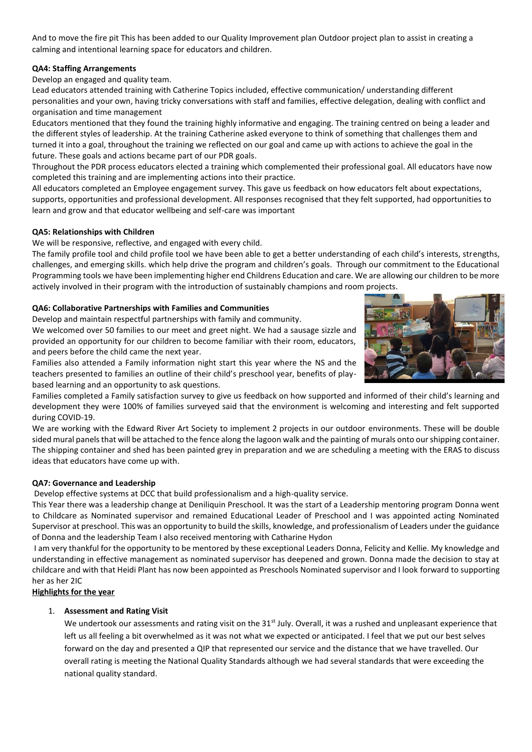And to move the fire pit This has been added to our Quality Improvement plan Outdoor project plan to assist in creating a calming and intentional learning space for educators and children.

## **QA4: Staffing Arrangements**

Develop an engaged and quality team.

Lead educators attended training with Catherine Topics included, effective communication/ understanding different personalities and your own, having tricky conversations with staff and families, effective delegation, dealing with conflict and organisation and time management

Educators mentioned that they found the training highly informative and engaging. The training centred on being a leader and the different styles of leadership. At the training Catherine asked everyone to think of something that challenges them and turned it into a goal, throughout the training we reflected on our goal and came up with actions to achieve the goal in the future. These goals and actions became part of our PDR goals.

Throughout the PDR process educators elected a training which complemented their professional goal. All educators have now completed this training and are implementing actions into their practice.

All educators completed an Employee engagement survey. This gave us feedback on how educators felt about expectations, supports, opportunities and professional development. All responses recognised that they felt supported, had opportunities to learn and grow and that educator wellbeing and self-care was important

## **QA5: Relationships with Children**

We will be responsive, reflective, and engaged with every child.

The family profile tool and child profile tool we have been able to get a better understanding of each child's interests, strengths, challenges, and emerging skills. which help drive the program and children's goals. Through our commitment to the Educational Programming tools we have been implementing higher end Childrens Education and care. We are allowing our children to be more actively involved in their program with the introduction of sustainably champions and room projects.

#### **QA6: Collaborative Partnerships with Families and Communities**

Develop and maintain respectful partnerships with family and community.

We welcomed over 50 families to our meet and greet night. We had a sausage sizzle and provided an opportunity for our children to become familiar with their room, educators, and peers before the child came the next year.

Families also attended a Family information night start this year where the NS and the teachers presented to families an outline of their child's preschool year, benefits of playbased learning and an opportunity to ask questions.

Families completed a Family satisfaction survey to give us feedback on how supported and informed of their child's learning and development they were 100% of families surveyed said that the environment is welcoming and interesting and felt supported during COVID-19.

We are working with the Edward River Art Society to implement 2 projects in our outdoor environments. These will be double sided mural panels that will be attached to the fence along the lagoon walk and the painting of murals onto our shipping container. The shipping container and shed has been painted grey in preparation and we are scheduling a meeting with the ERAS to discuss ideas that educators have come up with.

# **QA7: Governance and Leadership**

Develop effective systems at DCC that build professionalism and a high-quality service.

This Year there was a leadership change at Deniliquin Preschool. It was the start of a Leadership mentoring program Donna went to Childcare as Nominated supervisor and remained Educational Leader of Preschool and I was appointed acting Nominated Supervisor at preschool. This was an opportunity to build the skills, knowledge, and professionalism of Leaders under the guidance of Donna and the leadership Team I also received mentoring with Catharine Hydon

I am very thankful for the opportunity to be mentored by these exceptional Leaders Donna, Felicity and Kellie. My knowledge and understanding in effective management as nominated supervisor has deepened and grown. Donna made the decision to stay at childcare and with that Heidi Plant has now been appointed as Preschools Nominated supervisor and I look forward to supporting her as her 2IC

**Highlights for the year**

# 1. **Assessment and Rating Visit**

We undertook our assessments and rating visit on the 31<sup>st</sup> July. Overall, it was a rushed and unpleasant experience that left us all feeling a bit overwhelmed as it was not what we expected or anticipated. I feel that we put our best selves forward on the day and presented a QIP that represented our service and the distance that we have travelled. Our overall rating is meeting the National Quality Standards although we had several standards that were exceeding the national quality standard.

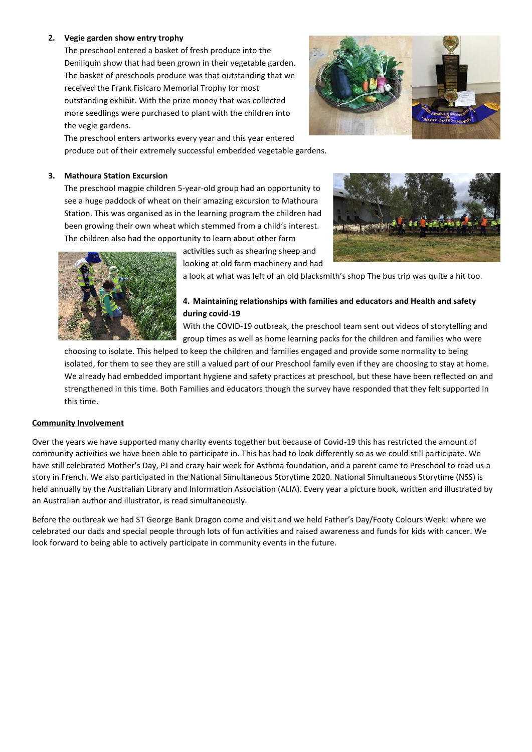#### **2. Vegie garden show entry trophy**

The preschool entered a basket of fresh produce into the Deniliquin show that had been grown in their vegetable garden. The basket of preschools produce was that outstanding that we received the Frank Fisicaro Memorial Trophy for most outstanding exhibit. With the prize money that was collected more seedlings were purchased to plant with the children into the vegie gardens.

The preschool enters artworks every year and this year entered produce out of their extremely successful embedded vegetable gardens.

#### **3. Mathoura Station Excursion**

The preschool magpie children 5-year-old group had an opportunity to see a huge paddock of wheat on their amazing excursion to Mathoura Station. This was organised as in the learning program the children had been growing their own wheat which stemmed from a child's interest. The children also had the opportunity to learn about other farm

> activities such as shearing sheep and looking at old farm machinery and had

a look at what was left of an old blacksmith's shop The bus trip was quite a hit too.

# **4. Maintaining relationships with families and educators and Health and safety during covid-19**

With the COVID-19 outbreak, the preschool team sent out videos of storytelling and group times as well as home learning packs for the children and families who were

choosing to isolate. This helped to keep the children and families engaged and provide some normality to being isolated, for them to see they are still a valued part of our Preschool family even if they are choosing to stay at home. We already had embedded important hygiene and safety practices at preschool, but these have been reflected on and strengthened in this time. Both Families and educators though the survey have responded that they felt supported in this time.

#### **Community Involvement**

Over the years we have supported many charity events together but because of Covid-19 this has restricted the amount of community activities we have been able to participate in. This has had to look differently so as we could still participate. We have still celebrated Mother's Day, PJ and crazy hair week for Asthma foundation, and a parent came to Preschool to read us a story in French. We also participated in the National Simultaneous Storytime 2020. National Simultaneous Storytime (NSS) is held annually by the Australian Library and Information Association (ALIA). Every year a picture book, written and illustrated by an Australian author and illustrator, is read simultaneously.

Before the outbreak we had ST George Bank Dragon come and visit and we held Father's Day/Footy Colours Week: where we celebrated our dads and special people through lots of fun activities and raised awareness and funds for kids with cancer. We look forward to being able to actively participate in community events in the future.





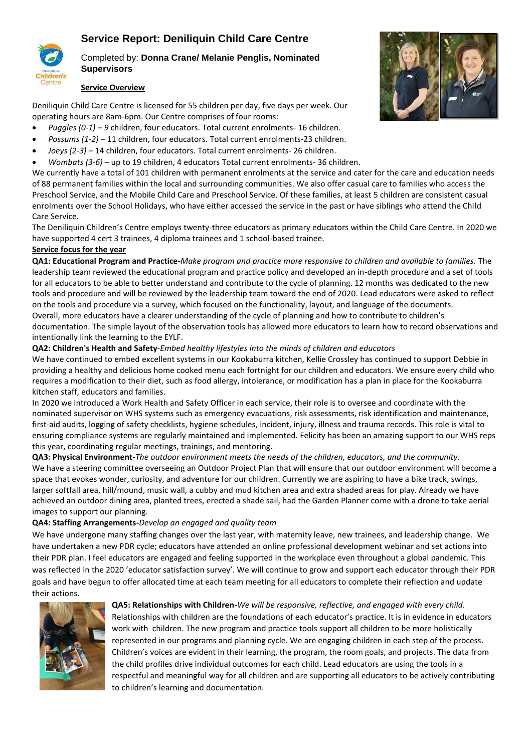# **Service Report: Deniliquin Child Care Centre**



# Completed by: **Donna Crane/ Melanie Penglis, Nominated Supervisors**

#### **Service Overview**

Deniliquin Child Care Centre is licensed for 55 children per day, five days per week. Our operating hours are 8am-6pm. Our Centre comprises of four rooms:

- *Puggles (0-1) – 9* children, four educators. Total current enrolments- 16 children.
- *Possums (1-2) –* 11 children, four educators. Total current enrolments-23 children.
- *Joeys (2-3) –* 14 children, four educators. Total current enrolments- 26 children.
- *Wombats (3-6)* up to 19 children, 4 educators Total current enrolments- 36 children.

We currently have a total of 101 children with permanent enrolments at the service and cater for the care and education needs of 88 permanent families within the local and surrounding communities. We also offer casual care to families who access the Preschool Service, and the Mobile Child Care and Preschool Service. Of these families, at least 5 children are consistent casual enrolments over the School Holidays, who have either accessed the service in the past or have siblings who attend the Child Care Service.

The Deniliquin Children's Centre employs twenty-three educators as primary educators within the Child Care Centre. In 2020 we have supported 4 cert 3 trainees, 4 diploma trainees and 1 school-based trainee.

#### **Service focus for the year**

**QA1: Educational Program and Practice-***Make program and practice more responsive to children and available to families.* The leadership team reviewed the educational program and practice policy and developed an in-depth procedure and a set of tools for all educators to be able to better understand and contribute to the cycle of planning. 12 months was dedicated to the new tools and procedure and will be reviewed by the leadership team toward the end of 2020. Lead educators were asked to reflect on the tools and procedure via a survey, which focused on the functionality, layout, and language of the documents. Overall, more educators have a clearer understanding of the cycle of planning and how to contribute to children's documentation. The simple layout of the observation tools has allowed more educators to learn how to record observations and intentionally link the learning to the EYLF.

#### **QA2: Children's Health and Safety**-*Embed healthy lifestyles into the minds of children and educators*

We have continued to embed excellent systems in our Kookaburra kitchen, Kellie Crossley has continued to support Debbie in providing a healthy and delicious home cooked menu each fortnight for our children and educators. We ensure every child who requires a modification to their diet, such as food allergy, intolerance, or modification has a plan in place for the Kookaburra kitchen staff, educators and families.

In 2020 we introduced a Work Health and Safety Officer in each service, their role is to oversee and coordinate with the nominated supervisor on WHS systems such as emergency evacuations, risk assessments, risk identification and maintenance, first-aid audits, logging of safety checklists, hygiene schedules, incident, injury, illness and trauma records. This role is vital to ensuring compliance systems are regularly maintained and implemented. Felicity has been an amazing support to our WHS reps this year, coordinating regular meetings, trainings, and mentoring.

**QA3: Physical Environment-***The outdoor environment meets the needs of the children, educators, and the community.* We have a steering committee overseeing an Outdoor Project Plan that will ensure that our outdoor environment will become a space that evokes wonder, curiosity, and adventure for our children. Currently we are aspiring to have a bike track, swings, larger softfall area, hill/mound, music wall, a cubby and mud kitchen area and extra shaded areas for play. Already we have achieved an outdoor dining area, planted trees, erected a shade sail, had the Garden Planner come with a drone to take aerial images to support our planning.

#### **QA4: Staffing Arrangements-***Develop an engaged and quality team*

We have undergone many staffing changes over the last year, with maternity leave, new trainees, and leadership change. We have undertaken a new PDR cycle; educators have attended an online professional development webinar and set actions into their PDR plan. I feel educators are engaged and feeling supported in the workplace even throughout a global pandemic. This was reflected in the 2020 'educator satisfaction survey'. We will continue to grow and support each educator through their PDR goals and have begun to offer allocated time at each team meeting for all educators to complete their reflection and update their actions.



#### **QA5: Relationships with Children-***We will be responsive, reflective, and engaged with every child.*

Relationships with children are the foundations of each educator's practice. It is in evidence in educators work with children. The new program and practice tools support all children to be more holistically represented in our programs and planning cycle. We are engaging children in each step of the process. Children's voices are evident in their learning, the program, the room goals, and projects. The data from the child profiles drive individual outcomes for each child. Lead educators are using the tools in a respectful and meaningful way for all children and are supporting all educators to be actively contributing to children's learning and documentation.

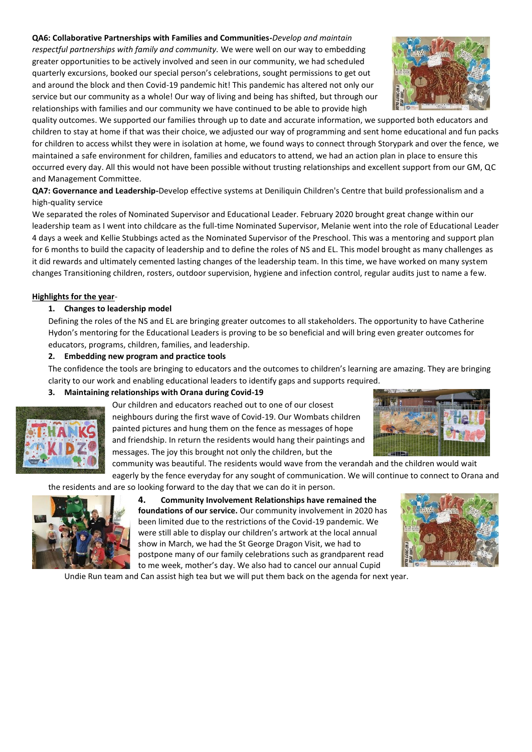**QA6: Collaborative Partnerships with Families and Communities-***Develop and maintain* 

*respectful partnerships with family and community.* We were well on our way to embedding greater opportunities to be actively involved and seen in our community, we had scheduled quarterly excursions, booked our special person's celebrations, sought permissions to get out and around the block and then Covid-19 pandemic hit! This pandemic has altered not only our service but our community as a whole! Our way of living and being has shifted, but through our relationships with families and our community we have continued to be able to provide high

quality outcomes. We supported our families through up to date and accurate information, we supported both educators and children to stay at home if that was their choice, we adjusted our way of programming and sent home educational and fun packs for children to access whilst they were in isolation at home, we found ways to connect through Storypark and over the fence, we maintained a safe environment for children, families and educators to attend, we had an action plan in place to ensure this occurred every day. All this would not have been possible without trusting relationships and excellent support from our GM, QC and Management Committee.

**QA7: Governance and Leadership-**Develop effective systems at Deniliquin Children's Centre that build professionalism and a high-quality service

We separated the roles of Nominated Supervisor and Educational Leader. February 2020 brought great change within our leadership team as I went into childcare as the full-time Nominated Supervisor, Melanie went into the role of Educational Leader 4 days a week and Kellie Stubbings acted as the Nominated Supervisor of the Preschool. This was a mentoring and support plan for 6 months to build the capacity of leadership and to define the roles of NS and EL. This model brought as many challenges as it did rewards and ultimately cemented lasting changes of the leadership team. In this time, we have worked on many system changes Transitioning children, rosters, outdoor supervision, hygiene and infection control, regular audits just to name a few.

## **Highlights for the year**-

## **1. Changes to leadership model**

Defining the roles of the NS and EL are bringing greater outcomes to all stakeholders. The opportunity to have Catherine Hydon's mentoring for the Educational Leaders is proving to be so beneficial and will bring even greater outcomes for educators, programs, children, families, and leadership.

# **2. Embedding new program and practice tools**

The confidence the tools are bringing to educators and the outcomes to children's learning are amazing. They are bringing clarity to our work and enabling educational leaders to identify gaps and supports required.

# **3. Maintaining relationships with Orana during Covid-19**



Our children and educators reached out to one of our closest neighbours during the first wave of Covid-19. Our Wombats children painted pictures and hung them on the fence as messages of hope and friendship. In return the residents would hang their paintings and messages. The joy this brought not only the children, but the



community was beautiful. The residents would wave from the verandah and the children would wait eagerly by the fence everyday for any sought of communication. We will continue to connect to Orana and

the residents and are so looking forward to the day that we can do it in person.



**4. Community Involvement Relationships have remained the foundations of our service.** Our community involvement in 2020 has been limited due to the restrictions of the Covid-19 pandemic. We were still able to display our children's artwork at the local annual show in March, we had the St George Dragon Visit, we had to postpone many of our family celebrations such as grandparent read to me week, mother's day. We also had to cancel our annual Cupid



Undie Run team and Can assist high tea but we will put them back on the agenda for next year.

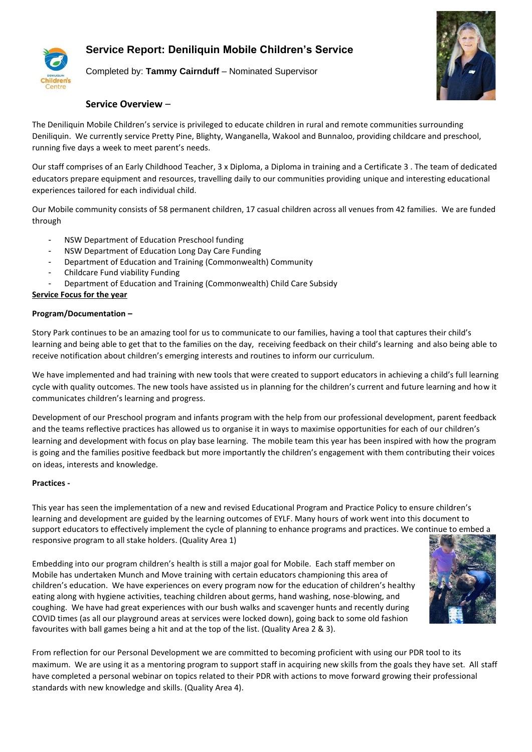# **Service Report: Deniliquin Mobile Children's Service**



Completed by: **Tammy Cairnduff** – Nominated Supervisor



# **Service Overview** –

The Deniliquin Mobile Children's service is privileged to educate children in rural and remote communities surrounding Deniliquin. We currently service Pretty Pine, Blighty, Wanganella, Wakool and Bunnaloo, providing childcare and preschool, running five days a week to meet parent's needs.

Our staff comprises of an Early Childhood Teacher, 3 x Diploma, a Diploma in training and a Certificate 3 . The team of dedicated educators prepare equipment and resources, travelling daily to our communities providing unique and interesting educational experiences tailored for each individual child.

Our Mobile community consists of 58 permanent children, 17 casual children across all venues from 42 families. We are funded through

- NSW Department of Education Preschool funding
- NSW Department of Education Long Day Care Funding
- Department of Education and Training (Commonwealth) Community
- Childcare Fund viability Funding
- Department of Education and Training (Commonwealth) Child Care Subsidy

#### **Service Focus for the year**

#### **Program/Documentation –**

Story Park continues to be an amazing tool for us to communicate to our families, having a tool that captures their child's learning and being able to get that to the families on the day, receiving feedback on their child's learning and also being able to receive notification about children's emerging interests and routines to inform our curriculum.

We have implemented and had training with new tools that were created to support educators in achieving a child's full learning cycle with quality outcomes. The new tools have assisted us in planning for the children's current and future learning and how it communicates children's learning and progress.

Development of our Preschool program and infants program with the help from our professional development, parent feedback and the teams reflective practices has allowed us to organise it in ways to maximise opportunities for each of our children's learning and development with focus on play base learning. The mobile team this year has been inspired with how the program is going and the families positive feedback but more importantly the children's engagement with them contributing their voices on ideas, interests and knowledge.

#### **Practices -**

This year has seen the implementation of a new and revised Educational Program and Practice Policy to ensure children's learning and development are guided by the learning outcomes of EYLF. Many hours of work went into this document to support educators to effectively implement the cycle of planning to enhance programs and practices. We continue to embed a responsive program to all stake holders. (Quality Area 1)

Embedding into our program children's health is still a major goal for Mobile. Each staff member on Mobile has undertaken Munch and Move training with certain educators championing this area of children's education. We have experiences on every program now for the education of children's healthy eating along with hygiene activities, teaching children about germs, hand washing, nose-blowing, and coughing. We have had great experiences with our bush walks and scavenger hunts and recently during COVID times (as all our playground areas at services were locked down), going back to some old fashion favourites with ball games being a hit and at the top of the list. (Quality Area 2 & 3).



From reflection for our Personal Development we are committed to becoming proficient with using our PDR tool to its maximum. We are using it as a mentoring program to support staff in acquiring new skills from the goals they have set. All staff have completed a personal webinar on topics related to their PDR with actions to move forward growing their professional standards with new knowledge and skills. (Quality Area 4).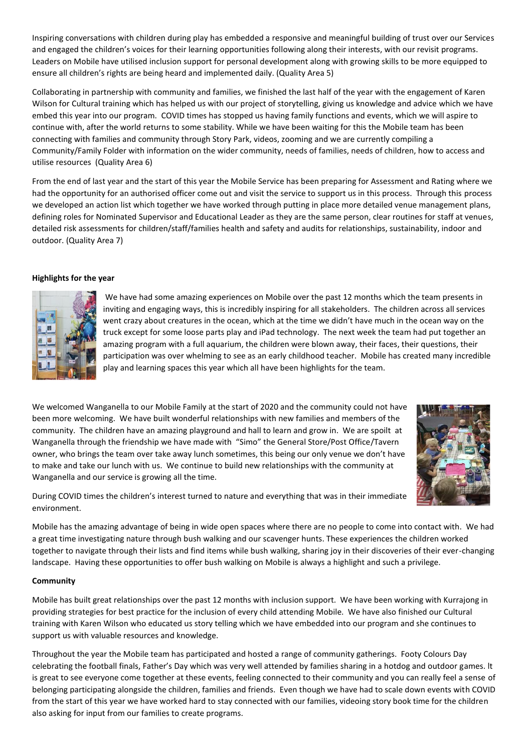Inspiring conversations with children during play has embedded a responsive and meaningful building of trust over our Services and engaged the children's voices for their learning opportunities following along their interests, with our revisit programs. Leaders on Mobile have utilised inclusion support for personal development along with growing skills to be more equipped to ensure all children's rights are being heard and implemented daily. (Quality Area 5)

Collaborating in partnership with community and families, we finished the last half of the year with the engagement of Karen Wilson for Cultural training which has helped us with our project of storytelling, giving us knowledge and advice which we have embed this year into our program. COVID times has stopped us having family functions and events, which we will aspire to continue with, after the world returns to some stability. While we have been waiting for this the Mobile team has been connecting with families and community through Story Park, videos, zooming and we are currently compiling a Community/Family Folder with information on the wider community, needs of families, needs of children, how to access and utilise resources (Quality Area 6)

From the end of last year and the start of this year the Mobile Service has been preparing for Assessment and Rating where we had the opportunity for an authorised officer come out and visit the service to support us in this process. Through this process we developed an action list which together we have worked through putting in place more detailed venue management plans, defining roles for Nominated Supervisor and Educational Leader as they are the same person, clear routines for staff at venues, detailed risk assessments for children/staff/families health and safety and audits for relationships, sustainability, indoor and outdoor. (Quality Area 7)

#### **Highlights for the year**



We have had some amazing experiences on Mobile over the past 12 months which the team presents in inviting and engaging ways, this is incredibly inspiring for all stakeholders. The children across all services went crazy about creatures in the ocean, which at the time we didn't have much in the ocean way on the truck except for some loose parts play and iPad technology. The next week the team had put together an amazing program with a full aquarium, the children were blown away, their faces, their questions, their participation was over whelming to see as an early childhood teacher. Mobile has created many incredible play and learning spaces this year which all have been highlights for the team.

We welcomed Wanganella to our Mobile Family at the start of 2020 and the community could not have been more welcoming. We have built wonderful relationships with new families and members of the community. The children have an amazing playground and hall to learn and grow in. We are spoilt at Wanganella through the friendship we have made with "Simo" the General Store/Post Office/Tavern owner, who brings the team over take away lunch sometimes, this being our only venue we don't have to make and take our lunch with us. We continue to build new relationships with the community at Wanganella and our service is growing all the time.



During COVID times the children's interest turned to nature and everything that was in their immediate environment.

Mobile has the amazing advantage of being in wide open spaces where there are no people to come into contact with. We had a great time investigating nature through bush walking and our scavenger hunts. These experiences the children worked together to navigate through their lists and find items while bush walking, sharing joy in their discoveries of their ever-changing landscape. Having these opportunities to offer bush walking on Mobile is always a highlight and such a privilege.

#### **Community**

Mobile has built great relationships over the past 12 months with inclusion support. We have been working with Kurrajong in providing strategies for best practice for the inclusion of every child attending Mobile. We have also finished our Cultural training with Karen Wilson who educated us story telling which we have embedded into our program and she continues to support us with valuable resources and knowledge.

Throughout the year the Mobile team has participated and hosted a range of community gatherings. Footy Colours Day celebrating the football finals, Father's Day which was very well attended by families sharing in a hotdog and outdoor games. lt is great to see everyone come together at these events, feeling connected to their community and you can really feel a sense of belonging participating alongside the children, families and friends. Even though we have had to scale down events with COVID from the start of this year we have worked hard to stay connected with our families, videoing story book time for the children also asking for input from our families to create programs.